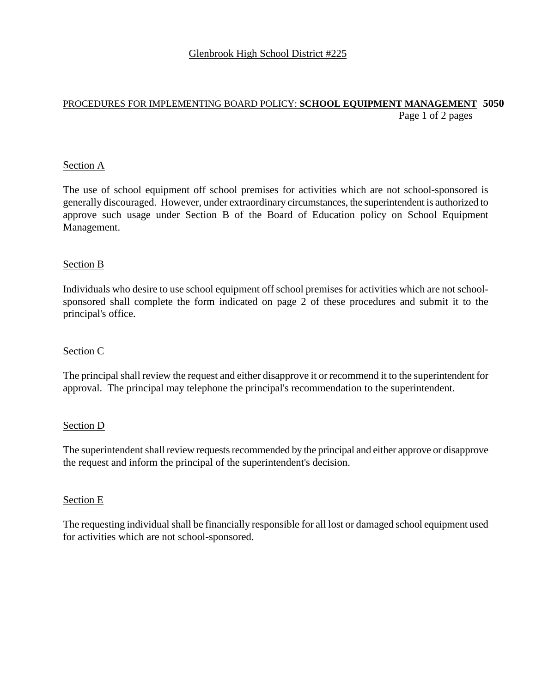## PROCEDURES FOR IMPLEMENTING BOARD POLICY: **SCHOOL EQUIPMENT MANAGEMENT 5050**  Page 1 of 2 pages

### Section A

The use of school equipment off school premises for activities which are not school-sponsored is generally discouraged. However, under extraordinary circumstances, the superintendent is authorized to approve such usage under Section B of the Board of Education policy on School Equipment Management.

#### Section B

Individuals who desire to use school equipment off school premises for activities which are not schoolsponsored shall complete the form indicated on page 2 of these procedures and submit it to the principal's office.

### Section C

The principal shall review the request and either disapprove it or recommend it to the superintendent for approval. The principal may telephone the principal's recommendation to the superintendent.

#### Section D

The superintendent shall review requests recommended by the principal and either approve or disapprove the request and inform the principal of the superintendent's decision.

#### Section E

The requesting individual shall be financially responsible for all lost or damaged school equipment used for activities which are not school-sponsored.